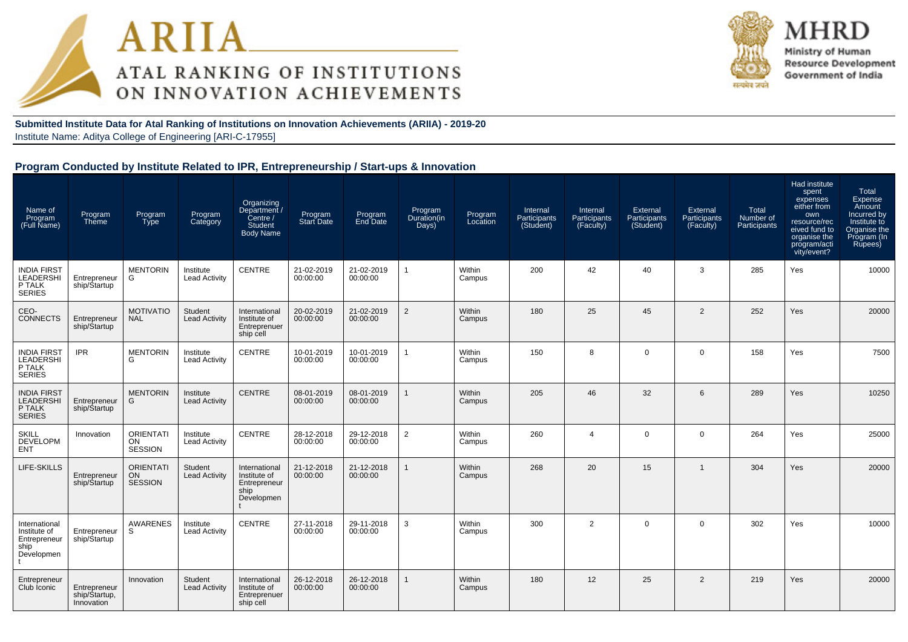



MHR Ministry of Human **Resource Development** Government of India

**Submitted Institute Data for Atal Ranking of Institutions on Innovation Achievements (ARIIA) - 2019-20**Institute Name: Aditya College of Engineering [ARI-C-17955]

#### **Program Conducted by Institute Related to IPR, Entrepreneurship / Start-ups & Innovation**

| Name of<br>Program<br>(Full Name)                                   | Program<br>Theme                            | Program<br><b>Type</b>                   | Program<br>Category               | Organizing<br>Department /<br>Centre /<br>Student<br><b>Body Name</b> | Program<br><b>Start Date</b> | Program<br>End Date    | Program<br>Duration(in<br>Days) | Program<br>Location | Internal<br>Participants<br>(Student) | Internal<br>Participants<br>(Faculty) | External<br>Participants<br>(Student) | External<br>Participants<br>(Faculty) | Total<br>Number of<br>Participants | Had institute<br>spent<br>expenses<br>either from<br>own<br>resource/rec<br>eived fund to<br>organise the<br>program/acti<br>vity/event? | Total<br><b>Expense</b><br>Amount<br>Incurred by<br>Institute to<br>Organise the<br>Program (In<br>Rupees) |
|---------------------------------------------------------------------|---------------------------------------------|------------------------------------------|-----------------------------------|-----------------------------------------------------------------------|------------------------------|------------------------|---------------------------------|---------------------|---------------------------------------|---------------------------------------|---------------------------------------|---------------------------------------|------------------------------------|------------------------------------------------------------------------------------------------------------------------------------------|------------------------------------------------------------------------------------------------------------|
| <b>INDIA FIRST</b><br>LEADERSHI<br>P TALK<br><b>SERIES</b>          | Entrepreneur<br>ship/Startup                | <b>MENTORIN</b><br>G                     | Institute<br><b>Lead Activity</b> | CENTRE                                                                | 21-02-2019<br>00:00:00       | 21-02-2019<br>00:00:00 | $\mathbf{1}$                    | Within<br>Campus    | 200                                   | 42                                    | 40                                    | 3                                     | 285                                | Yes                                                                                                                                      | 10000                                                                                                      |
| CEO-<br><b>CONNECTS</b>                                             | Entrepreneur<br>ship/Startup                | <b>MOTIVATIO</b><br><b>NAL</b>           | Student<br><b>Lead Activity</b>   | International<br>Institute of<br>Entreprenuer<br>ship cell            | 20-02-2019<br>00:00:00       | 21-02-2019<br>00:00:00 | $\overline{2}$                  | Within<br>Campus    | 180                                   | 25                                    | 45                                    | 2                                     | 252                                | Yes                                                                                                                                      | 20000                                                                                                      |
| <b>INDIA FIRST</b><br>LEADERSHI<br>P TALK<br><b>SERIES</b>          | <b>IPR</b>                                  | <b>MENTORIN</b><br>G                     | Institute<br><b>Lead Activity</b> | CENTRE                                                                | 10-01-2019<br>00:00:00       | 10-01-2019<br>00:00:00 | 1                               | Within<br>Campus    | 150                                   | 8                                     | $\Omega$                              | $\mathbf 0$                           | 158                                | Yes                                                                                                                                      | 7500                                                                                                       |
| <b>INDIA FIRST</b><br>LEADERSHI<br>P TALK<br><b>SERIES</b>          | Entrepreneur<br>ship/Startup                | <b>MENTORIN</b><br>G                     | Institute<br><b>Lead Activity</b> | <b>CENTRE</b>                                                         | 08-01-2019<br>00:00:00       | 08-01-2019<br>00:00:00 |                                 | Within<br>Campus    | 205                                   | 46                                    | 32                                    | 6                                     | 289                                | Yes                                                                                                                                      | 10250                                                                                                      |
| <b>SKILL</b><br><b>DEVELOPM</b><br><b>ENT</b>                       | Innovation                                  | <b>ORIENTATI</b><br>ON<br><b>SESSION</b> | Institute<br><b>Lead Activity</b> | CENTRE                                                                | 28-12-2018<br>00:00:00       | 29-12-2018<br>00:00:00 | $\overline{2}$                  | Within<br>Campus    | 260                                   | $\overline{4}$                        | $\Omega$                              | $\mathbf{0}$                          | 264                                | Yes                                                                                                                                      | 25000                                                                                                      |
| LIFE-SKILLS                                                         | Entrepreneur<br>ship/Startup                | <b>ORIENTATI</b><br><b>ON</b><br>SESSION | Student<br><b>Lead Activity</b>   | International<br>Institute of<br>Entrepreneur<br>ship<br>Developmen   | 21-12-2018<br>00:00:00       | 21-12-2018<br>00:00:00 |                                 | Within<br>Campus    | 268                                   | 20                                    | 15                                    |                                       | 304                                | Yes                                                                                                                                      | 20000                                                                                                      |
| International<br>Institute of<br>Entrepreneur<br>ship<br>Developmen | Entrepreneur<br>ship/Startup                | AWARENES<br>S                            | Institute<br><b>Lead Activity</b> | CENTRE                                                                | 27-11-2018<br>00:00:00       | 29-11-2018<br>00:00:00 | 3                               | Within<br>Campus    | 300                                   | $\overline{2}$                        | $\mathbf 0$                           | $\overline{0}$                        | 302                                | Yes                                                                                                                                      | 10000                                                                                                      |
| Entrepreneur<br>Club Iconic                                         | Entrepreneur<br>ship/Startup,<br>Innovation | Innovation                               | Student<br><b>Lead Activity</b>   | International<br>Institute of<br>Entreprenuer<br>ship cell            | 26-12-2018<br>00:00:00       | 26-12-2018<br>00:00:00 |                                 | Within<br>Campus    | 180                                   | 12                                    | 25                                    | 2                                     | 219                                | Yes                                                                                                                                      | 20000                                                                                                      |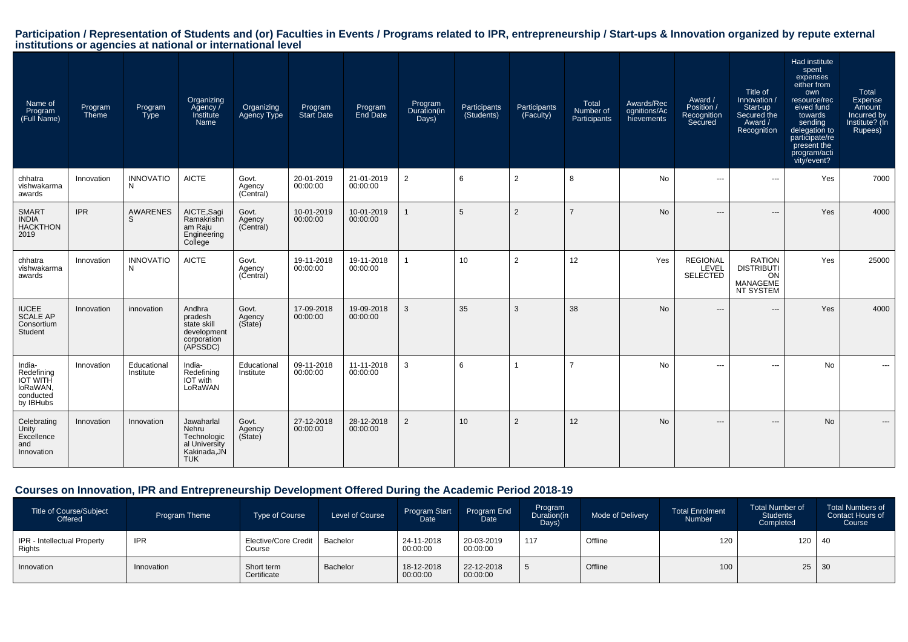# Participation / Representation of Students and (or) Faculties in Events / Programs related to IPR, entrepreneurship / Start-ups & Innovation organized by repute external<br>institutions or agencies at national or internationa

| Name of<br>Program<br>(Full Name)                                             | Program<br><b>Theme</b> | Program<br><b>Type</b>   | Organizing<br>Agency /<br>Institute<br>Name                                       | Organizing<br>Agency Type    | Program<br><b>Start Date</b> | Program<br><b>End Date</b> | Program<br>Duration(in<br>Days) | Participants<br>(Students) | Participants<br>(Faculty) | Total<br>Number of<br>Participants | Awards/Rec<br>ognitions/Ac<br>hievements | Award /<br>Position /<br>Recognition<br>Secured | Title of<br>Innovation /<br>Start-up<br>Secured the<br>Award /<br>Recognition | Had institute<br>spent<br>expenses<br>either from<br>own<br>resource/rec<br>eived fund<br>towards<br>sending<br>delegation to<br>participate/re<br>present the<br>program/acti<br>vity/event? | Total<br>Expense<br>Amount<br>Incurred by<br>Institute? (In<br>Rupees) |
|-------------------------------------------------------------------------------|-------------------------|--------------------------|-----------------------------------------------------------------------------------|------------------------------|------------------------------|----------------------------|---------------------------------|----------------------------|---------------------------|------------------------------------|------------------------------------------|-------------------------------------------------|-------------------------------------------------------------------------------|-----------------------------------------------------------------------------------------------------------------------------------------------------------------------------------------------|------------------------------------------------------------------------|
| chhatra<br>vishwakarma<br>awards                                              | Innovation              | <b>INNOVATIO</b><br>N    | <b>AICTE</b>                                                                      | Govt.<br>Agency<br>(Central) | 20-01-2019<br>00:00:00       | 21-01-2019<br>00:00:00     | 2                               | 6                          | $\overline{2}$            | 8                                  | No                                       | $\hspace{0.05cm} \ldots$                        | $\hspace{0.05cm} \ldots$                                                      | Yes                                                                                                                                                                                           | 7000                                                                   |
| <b>SMART</b><br><b>INDIA</b><br><b>HACKTHON</b><br>2019                       | <b>IPR</b>              | <b>AWARENES</b><br>S     | AICTE, Sagi<br>Ramakrishn<br>am Raju<br>Engineering<br>College                    | Govt.<br>Agency<br>(Central) | 10-01-2019<br>00:00:00       | 10-01-2019<br>00:00:00     |                                 | 5                          | $\overline{2}$            | $\overline{z}$                     | <b>No</b>                                | $---$                                           | $---$                                                                         | Yes                                                                                                                                                                                           | 4000                                                                   |
| chhatra<br>vishwakarma<br>awards                                              | Innovation              | <b>INNOVATIO</b><br>N    | <b>AICTE</b>                                                                      | Govt.<br>Agency<br>(Central) | 19-11-2018<br>00:00:00       | 19-11-2018<br>00:00:00     |                                 | 10                         | $\overline{2}$            | 12                                 | Yes                                      | <b>REGIONAL</b><br>LEVEL<br><b>SELECTED</b>     | <b>RATION</b><br><b>DISTRIBUTI</b><br>ON<br>MANAGEME<br>NT SYSTEM             | Yes                                                                                                                                                                                           | 25000                                                                  |
| <b>IUCEE</b><br><b>SCALE AP</b><br>Consortium<br>Student                      | Innovation              | innovation               | Andhra<br>pradesh<br>state skill<br>development<br>corporation<br>(APSSDC)        | Govt.<br>Agency<br>(Sitate)  | 17-09-2018<br>00:00:00       | 19-09-2018<br>00:00:00     | 3                               | 35                         | 3                         | 38                                 | <b>No</b>                                | $\cdots$                                        | $---$                                                                         | Yes                                                                                                                                                                                           | 4000                                                                   |
| India-<br>Redefining<br><b>IOT WITH</b><br>loRaWAN,<br>conducted<br>by IBHubs | Innovation              | Educational<br>Institute | India-<br>Redefining<br>IOT with<br>LoRaWAN                                       | Educational<br>Institute     | 09-11-2018<br>00:00:00       | 11-11-2018<br>00:00:00     | 3                               | 6                          |                           | $\overline{ }$                     | No                                       | ---                                             | $\overline{\phantom{a}}$                                                      | No                                                                                                                                                                                            |                                                                        |
| Celebrating<br>Unity<br>Excellence<br>and<br>Innovation                       | Innovation              | Innovation               | Jawaharlal<br>Nehru<br>Technologic<br>al University<br>Kakinada, JN<br><b>TUK</b> | Govt.<br>Agency<br>(Sitate)  | 27-12-2018<br>00:00:00       | 28-12-2018<br>00:00:00     | 2                               | 10                         | 2                         | 12                                 | <b>No</b>                                | $\overline{\phantom{a}}$                        | $---$                                                                         | <b>No</b>                                                                                                                                                                                     | $\qquad \qquad \cdots$                                                 |

## **Courses on Innovation, IPR and Entrepreneurship Development Offered During the Academic Period 2018-19**

| Title of Course/Subject<br>Offered    | Program Theme | <b>Type of Course</b>                 | Level of Course | <b>Program Start</b><br>Date | Program End<br>Date    | Program<br>Duration(in<br>Days) | <b>Mode of Delivery</b> | <b>Total Enrolment</b><br>Number | <b>Total Number of</b><br><b>Students</b><br>Completed | <b>Total Numbers of</b><br>Contact Hours of<br>Course |
|---------------------------------------|---------------|---------------------------------------|-----------------|------------------------------|------------------------|---------------------------------|-------------------------|----------------------------------|--------------------------------------------------------|-------------------------------------------------------|
| IPR - Intellectual Property<br>Rights | <b>IPR</b>    | <b>Elective/Core Credit</b><br>Course | Bachelor        | 24-11-2018<br>00:00:00       | 20-03-2019<br>00:00:00 | 117                             | Offline                 | 120                              | $120 \mid 40$                                          |                                                       |
| Innovation                            | Innovation    | Short term<br>Certificate             | Bachelor        | 18-12-2018<br>00:00:00       | 22-12-2018<br>00:00:00 |                                 | Offline                 | 100                              | $25 \mid 30$                                           |                                                       |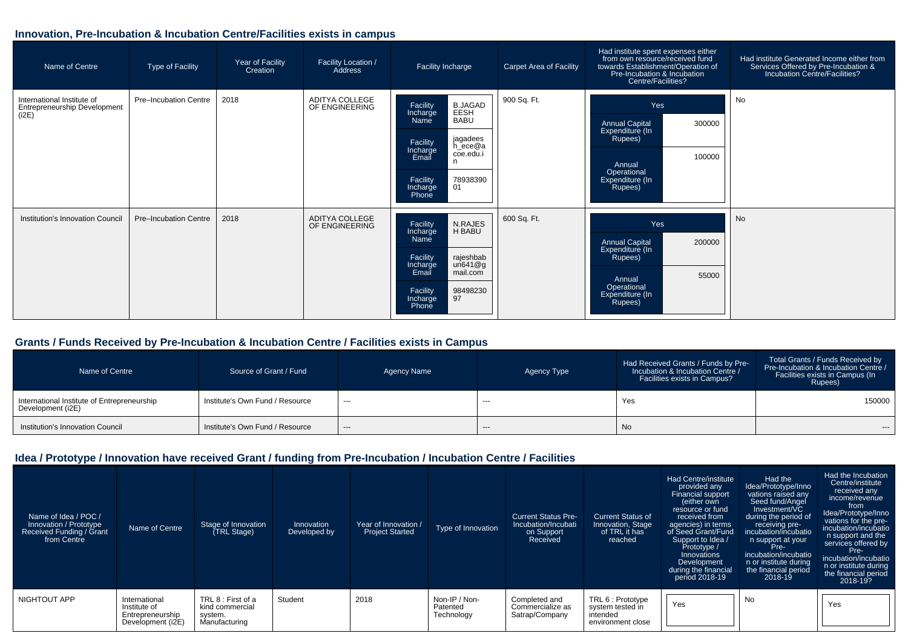## **Innovation, Pre-Incubation & Incubation Centre/Facilities exists in campus**

| Name of Centre                                                             | <b>Type of Facility</b> | Year of Facility<br>Creation | Facility Location /<br>Address   | Facility Incharge                                                                                                                                                                           | <b>Carpet Area of Facility</b> | Had institute spent expenses either<br>from own resource/received fund<br>towards Establishment/Operation of<br>Pre-Incubation & Incubation<br>Centre/Facilities? | Had institute Generated Income either from<br>Services Offered by Pre-Incubation &<br>Incubation Centre/Facilities? |
|----------------------------------------------------------------------------|-------------------------|------------------------------|----------------------------------|---------------------------------------------------------------------------------------------------------------------------------------------------------------------------------------------|--------------------------------|-------------------------------------------------------------------------------------------------------------------------------------------------------------------|---------------------------------------------------------------------------------------------------------------------|
| International Institute of<br><b>Entrepreneurship Development</b><br>(i2E) | Pre-Incubation Centre   | 2018                         | ADITYA COLLEGE<br>OF ENGINEERING | B.JAGAD<br>EESH<br>Facility<br>Incharge<br><b>BABU</b><br>Name<br>jagadees<br>Facility<br>Incharge<br>h_ece@a<br>coe.edu.i<br>Email<br>n<br>78938390<br>01<br>Facility<br>Incharge<br>Phone | 900 Sq. Ft.                    | Yes<br><b>Annual Capital</b><br>300000<br>Expenditure (In<br>Rupees)<br>100000<br>Annual<br>Operational<br>Expenditure (In<br>Rupees)                             | No                                                                                                                  |
| Institution's Innovation Council                                           | Pre-Incubation Centre   | 2018                         | ADITYA COLLEGE<br>OF ENGINEERING | <b>N.RAJES</b><br>Facility<br>H BABU<br>Incharge<br>Name<br>rajeshbab<br>un641@g<br>Facility<br>Incharge<br>Email<br>mail.com<br>98498230<br>Facility<br>97<br>Incharge<br>Phone            | 600 Sq. Ft.                    | Yes<br>200000<br><b>Annual Capital</b><br>Expenditure (In<br>Rupees)<br>55000<br>Annual<br>Operational<br>Expenditure (In<br>Rupees)                              | No                                                                                                                  |

## **Grants / Funds Received by Pre-Incubation & Incubation Centre / Facilities exists in Campus**

| Name of Centre                                                   | Source of Grant / Fund          | Agency Name | Agency Type | Had Received Grants / Funds by Pre-<br>Incubation & Incubation Centre /<br>Facilities exists in Campus? | Total Grants / Funds Received by<br>Pre-Incubation & Incubation Centre /<br>Facilities exists in Campus (In<br>Rupees) |
|------------------------------------------------------------------|---------------------------------|-------------|-------------|---------------------------------------------------------------------------------------------------------|------------------------------------------------------------------------------------------------------------------------|
| International Institute of Entrepreneurship<br>Development (i2E) | Institute's Own Fund / Resource | $---$       | $--$        | Yes                                                                                                     | 150000                                                                                                                 |
| Institution's Innovation Council                                 | Institute's Own Fund / Resource | $---$       | $---$       | <b>No</b>                                                                                               | $---$                                                                                                                  |

## **Idea / Prototype / Innovation have received Grant / funding from Pre-Incubation / Incubation Centre / Facilities**

| Name of Idea / POC /<br>Innovation / Prototype<br>Received Funding / Grant<br>from Centre | Name of Centre                                                         | Stage of Innovation<br>(TRL Stage)                                | Innovation<br>Developed by | Year of Innovation /<br><b>Project Started</b> | Type of Innovation                      | <b>Current Status Pre-</b><br>Incubation/Incubati<br>on Support<br>Received | <b>Current Status of</b><br>Innovation, Stage<br>of TRL it has<br>reached | Had Centre/institute<br>provided any<br><b>Financial support</b><br>either own<br>resource or fund<br>received from<br>agencies) in terms<br>of Seed Grant/Fund<br>Support to Idea /<br>Prototype /<br>Innovations<br>Development<br>during the financial<br>period 2018-19 | Had the<br>Idea/Prototype/Inno<br>vations raised any<br>Seed fund/Angel<br>Investment/VC<br>during the period of<br>receiving pre-<br>incubation/incubatio<br>n support at your<br>Pre-<br>incubation/incubatio<br>n or institute during<br>the financial period<br>2018-19 | Had the Incubation<br>Centre/institute<br>received any<br>income/revenue<br>from<br>Idea/Prototype/Inno<br>vations for the pre-<br>incubation/incubatio<br>n support and the<br>services offered by<br>Pre-<br>incubation/incubatio<br>n or institute during<br>the financial period<br>2018-19? |
|-------------------------------------------------------------------------------------------|------------------------------------------------------------------------|-------------------------------------------------------------------|----------------------------|------------------------------------------------|-----------------------------------------|-----------------------------------------------------------------------------|---------------------------------------------------------------------------|-----------------------------------------------------------------------------------------------------------------------------------------------------------------------------------------------------------------------------------------------------------------------------|-----------------------------------------------------------------------------------------------------------------------------------------------------------------------------------------------------------------------------------------------------------------------------|--------------------------------------------------------------------------------------------------------------------------------------------------------------------------------------------------------------------------------------------------------------------------------------------------|
| NIGHTOUT APP                                                                              | International<br>Institute of<br>Entrepreneurship<br>Development (i2E) | TRL 8 : First of a<br>kind commercial<br>system.<br>Manufacturing | Student                    | 2018                                           | Non-IP / Non-<br>Patented<br>Technology | Completed and<br>Commercialize as<br>Satrap/Company                         | TRL 6 : Prototype<br>system tested in<br>intended<br>environment close    | Yes                                                                                                                                                                                                                                                                         | No                                                                                                                                                                                                                                                                          | Yes                                                                                                                                                                                                                                                                                              |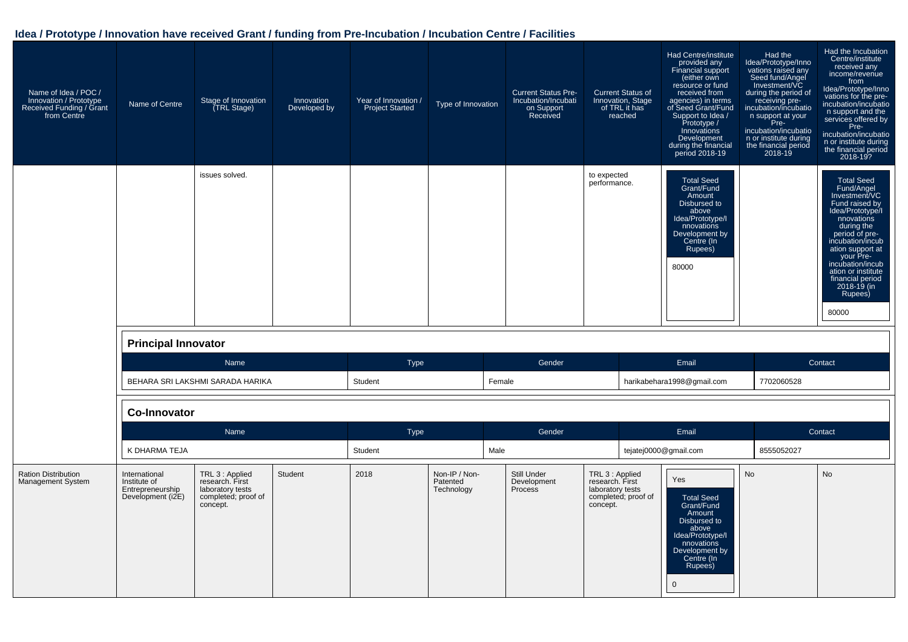## **Idea / Prototype / Innovation have received Grant / funding from Pre-Incubation / Incubation Centre / Facilities**

| Name of Idea / POC /<br>Innovation / Prototype<br>Received Funding / Grant<br>from Centre | Name of Centre                                                         | Stage of Innovation<br>(TRL Stage)                                                        | Innovation<br>Developed by | Year of Innovation /<br><b>Project Started</b> | Type of Innovation                      | <b>Current Status Pre-</b><br>Incubation/Incubati<br>on Support<br>Received | <b>Current Status of</b><br>Innovation, Stage<br>of TRL it has<br>reached                 | Had Centre/institute<br>provided any<br>Financial support<br>(either own<br>resource or fund<br>received from<br>agencies) in terms<br>of Seed Grant/Fund<br>Support to Idea /<br>Prototype /<br>Innovations<br>Development<br>during the financial<br>period 2018-19 | Had the<br>Idea/Prototype/Inno<br>vations raised any<br>Seed fund/Angel<br>Investment/VC<br>during the period of<br>receiving pre-<br>incubation/incubatio<br>n support at your<br>in Pre-<br>Pre-<br>incubation/incubatio<br>n or institute during<br>the financial period<br>2018-19 | Had the Incubation<br>Centre/institute<br>received any<br>income/revenue<br>from<br>Idea/Prototype/Inno<br>vations for the pre-<br>incubation/incubatio<br>n support and the<br>services offered by<br>Pre-<br>incubation/incubatio<br>n or institute during<br>the financial period<br>2018-19? |
|-------------------------------------------------------------------------------------------|------------------------------------------------------------------------|-------------------------------------------------------------------------------------------|----------------------------|------------------------------------------------|-----------------------------------------|-----------------------------------------------------------------------------|-------------------------------------------------------------------------------------------|-----------------------------------------------------------------------------------------------------------------------------------------------------------------------------------------------------------------------------------------------------------------------|----------------------------------------------------------------------------------------------------------------------------------------------------------------------------------------------------------------------------------------------------------------------------------------|--------------------------------------------------------------------------------------------------------------------------------------------------------------------------------------------------------------------------------------------------------------------------------------------------|
|                                                                                           |                                                                        | issues solved.                                                                            |                            |                                                |                                         |                                                                             | to expected<br>performance.                                                               | <b>Total Seed</b><br>Grant/Fund<br>Amount<br>Disbursed to<br>above<br>Idea/Prototype/I<br>nnovations<br>Development by<br>Centre (In<br>Rupees)<br>80000                                                                                                              |                                                                                                                                                                                                                                                                                        | <b>Total Seed</b><br>Fund/Angel<br>Investment/VC<br>Fund raised by<br>Idea/Prototype/I<br>nnovations<br>during the<br>period of pre-<br>incubation/incub<br>ation support at<br>gour Pre-<br>incubation/incub<br>ation or institute<br>financial period<br>2018-19 (in<br>Rupees)<br>80000       |
|                                                                                           | <b>Principal Innovator</b>                                             |                                                                                           |                            |                                                |                                         |                                                                             |                                                                                           |                                                                                                                                                                                                                                                                       |                                                                                                                                                                                                                                                                                        |                                                                                                                                                                                                                                                                                                  |
|                                                                                           |                                                                        | Name                                                                                      |                            | <b>Type</b>                                    |                                         | Gender                                                                      |                                                                                           | Email                                                                                                                                                                                                                                                                 |                                                                                                                                                                                                                                                                                        | Contact                                                                                                                                                                                                                                                                                          |
|                                                                                           |                                                                        | BEHARA SRI LAKSHMI SARADA HARIKA                                                          |                            | Student                                        |                                         | Female                                                                      |                                                                                           | harikabehara1998@gmail.com                                                                                                                                                                                                                                            | 7702060528                                                                                                                                                                                                                                                                             |                                                                                                                                                                                                                                                                                                  |
|                                                                                           | <b>Co-Innovator</b>                                                    |                                                                                           |                            |                                                |                                         |                                                                             |                                                                                           |                                                                                                                                                                                                                                                                       |                                                                                                                                                                                                                                                                                        |                                                                                                                                                                                                                                                                                                  |
|                                                                                           |                                                                        | Name                                                                                      |                            | Type                                           |                                         | Gender                                                                      |                                                                                           | Email                                                                                                                                                                                                                                                                 |                                                                                                                                                                                                                                                                                        | Contact                                                                                                                                                                                                                                                                                          |
|                                                                                           | K DHARMA TEJA                                                          |                                                                                           |                            | Student                                        |                                         | Male                                                                        |                                                                                           | tejatej0000@gmail.com                                                                                                                                                                                                                                                 | 8555052027                                                                                                                                                                                                                                                                             |                                                                                                                                                                                                                                                                                                  |
| <b>Ration Distribution</b><br>Management System                                           | International<br>Institute of<br>Entrepreneurship<br>Development (i2E) | TRL 3 : Applied<br>research. First<br>laboratory tests<br>completed; proof of<br>concept. | Student                    | 2018                                           | Non-IP / Non-<br>Patented<br>Technology | Still Under<br>Development<br>Process                                       | TRL 3 : Applied<br>research. First<br>laboratory tests<br>completed; proof of<br>concept. | Yes<br><b>Total Seed</b><br>Grant/Fund<br>Amount<br>Disbursed to<br>above<br>Idea/Prototype/I<br>nnovations<br>Development by<br>Centre (In<br>Rupees)<br>$\mathbf 0$                                                                                                 | <b>No</b>                                                                                                                                                                                                                                                                              | <b>No</b>                                                                                                                                                                                                                                                                                        |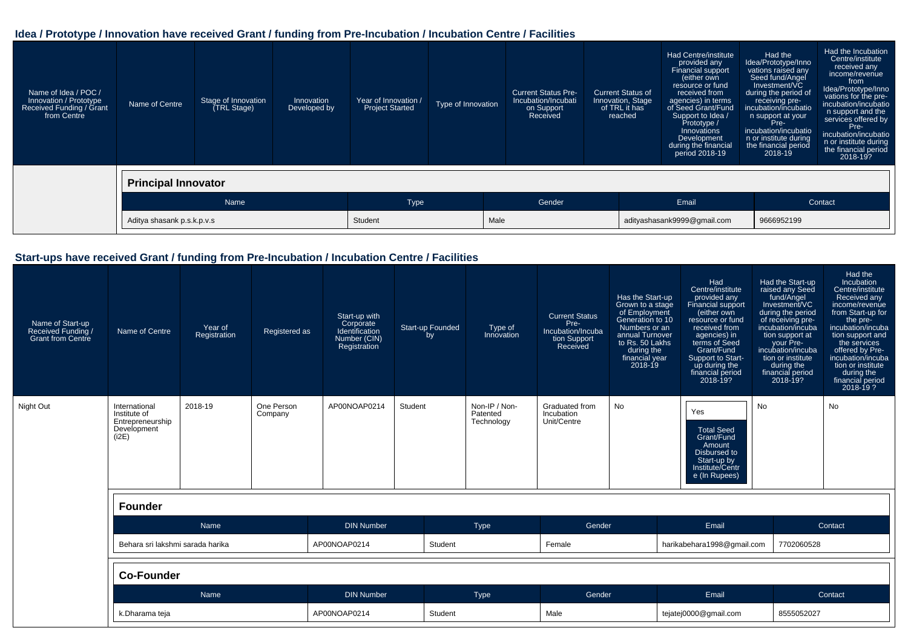## **Idea / Prototype / Innovation have received Grant / funding from Pre-Incubation / Incubation Centre / Facilities**

| Name of Idea / POC /<br>Innovation / Prototype<br>Received Funding / Grant<br>from Centre | Name of Centre             | Stage of Innovation<br>(TRL Stage) | Innovation<br>Developed by | Year of Innovation /<br><b>Project Started</b> | Type of Innovation | <b>Current Status Pre-</b><br>Incubation/Incubati<br>on Support<br>Received |       | <b>Current Status of</b><br>Innovation, Stage<br>of TRL it has<br>reached | Had Centre/institute<br>provided any<br>Financial support<br>(either own<br>resource or fund<br>received from<br>agencies) in terms<br>of Seed Grant/Fund<br>Support to Idea /<br>Prototype /<br>Innovations<br>Development<br>during the financial<br>period 2018-19 | Had the<br>Idea/Prototype/Inno<br>vations raised any<br>Seed fund/Angel<br>Investment/VC<br>during the period of<br>receiving pre-<br>incubation/incubatio<br>n support at your<br>Pre-<br>incubation/incubatio<br>n or institute during<br>the financial period<br>2018-19 | Had the Incubation<br>Centre/institute<br>received any<br>income/revenue<br>from<br>Idea/Prototype/Inno<br>vations for the pre-<br>incubation/incubatio<br>n support and the<br>services offered by<br>Pre-<br>incubation/incubatio<br>n or institute during<br>the financial period<br>2018-19? |
|-------------------------------------------------------------------------------------------|----------------------------|------------------------------------|----------------------------|------------------------------------------------|--------------------|-----------------------------------------------------------------------------|-------|---------------------------------------------------------------------------|-----------------------------------------------------------------------------------------------------------------------------------------------------------------------------------------------------------------------------------------------------------------------|-----------------------------------------------------------------------------------------------------------------------------------------------------------------------------------------------------------------------------------------------------------------------------|--------------------------------------------------------------------------------------------------------------------------------------------------------------------------------------------------------------------------------------------------------------------------------------------------|
|                                                                                           | <b>Principal Innovator</b> |                                    |                            |                                                |                    |                                                                             |       |                                                                           |                                                                                                                                                                                                                                                                       |                                                                                                                                                                                                                                                                             |                                                                                                                                                                                                                                                                                                  |
|                                                                                           | Name                       |                                    | <b>Type</b>                |                                                | Gender             |                                                                             | Email |                                                                           |                                                                                                                                                                                                                                                                       | Contact                                                                                                                                                                                                                                                                     |                                                                                                                                                                                                                                                                                                  |
|                                                                                           | Aditya shasank p.s.k.p.v.s |                                    |                            | Student                                        |                    | Male                                                                        |       |                                                                           | adityashasank9999@gmail.com                                                                                                                                                                                                                                           | 9666952199                                                                                                                                                                                                                                                                  |                                                                                                                                                                                                                                                                                                  |

## **Start-ups have received Grant / funding from Pre-Incubation / Incubation Centre / Facilities**

| Name of Start-up<br>Received Funding /<br><b>Grant from Centre</b> | Name of Centre                                                            | Year of<br>Registration | Registered as         | Start-up with<br>Corporate<br>Identification<br>Number (CIN)<br>Registration | Start-up Founded<br>by | Type of<br>Innovation                   | <b>Current Status</b><br>Pre-<br>Incubation/Incuba<br>tion Support<br>Received | Has the Start-up<br>Grown to a stage<br>of Employment<br>Generation to 10<br>Numbers or an<br>annual Turnover<br>to Rs. 50 Lakhs<br>during the<br>financial year<br>$2018 - 19$ | Had<br>Centre/institute<br>provided any<br>Financial support<br>(either own<br>resource or fund<br>received from<br>agencies) in<br>terms of Seed<br>Grant/Fund<br>Support to Start-<br>up during the<br>financial period<br>2018-19? | Had the Start-up<br>raised any Seed<br>fund/Angel<br>Investment/VC<br>during the period<br>of receiving pre-<br>incubation/incuba<br>tion support at<br>your Pre-<br>incubation/incuba<br>tion or institute<br>during the<br>financial period<br>2018-19? | Had the<br><b>Incubation</b><br>Centre/institute<br><b>Received any</b><br>income/revenue<br>from Start-up for<br>the pre-<br>incubation/incuba<br>tion support and<br>the services<br>offered by Pre-<br>incubation/incuba<br>tion or institute<br>during the<br>financial period<br>$2018 - 19$ ? |
|--------------------------------------------------------------------|---------------------------------------------------------------------------|-------------------------|-----------------------|------------------------------------------------------------------------------|------------------------|-----------------------------------------|--------------------------------------------------------------------------------|---------------------------------------------------------------------------------------------------------------------------------------------------------------------------------|---------------------------------------------------------------------------------------------------------------------------------------------------------------------------------------------------------------------------------------|-----------------------------------------------------------------------------------------------------------------------------------------------------------------------------------------------------------------------------------------------------------|-----------------------------------------------------------------------------------------------------------------------------------------------------------------------------------------------------------------------------------------------------------------------------------------------------|
| Night Out                                                          | International<br>Institute of<br>Entrepreneurship<br>Development<br>(i2E) | 2018-19                 | One Person<br>Company | AP00NOAP0214                                                                 | Student                | Non-IP / Non-<br>Patented<br>Technology | Graduated from<br>Incubation<br>Unit/Centre                                    | No                                                                                                                                                                              | Yes<br><b>Total Seed</b><br>Grant/Fund<br>Amount<br>Disbursed to<br>Start-up by<br>Institute/Centr<br>e (In Rupees)                                                                                                                   | <b>No</b>                                                                                                                                                                                                                                                 | <b>No</b>                                                                                                                                                                                                                                                                                           |
|                                                                    | <b>Founder</b>                                                            |                         |                       |                                                                              |                        |                                         |                                                                                |                                                                                                                                                                                 |                                                                                                                                                                                                                                       |                                                                                                                                                                                                                                                           |                                                                                                                                                                                                                                                                                                     |
|                                                                    |                                                                           | Name                    |                       | <b>DIN Number</b>                                                            |                        | Type                                    | Gender                                                                         |                                                                                                                                                                                 | Email                                                                                                                                                                                                                                 |                                                                                                                                                                                                                                                           | Contact                                                                                                                                                                                                                                                                                             |
|                                                                    | Behara sri lakshmi sarada harika                                          |                         |                       | AP00NOAP0214                                                                 | Student                |                                         | Female                                                                         |                                                                                                                                                                                 | harikabehara1998@gmail.com                                                                                                                                                                                                            | 7702060528                                                                                                                                                                                                                                                |                                                                                                                                                                                                                                                                                                     |
|                                                                    | <b>Co-Founder</b>                                                         |                         |                       |                                                                              |                        |                                         |                                                                                |                                                                                                                                                                                 |                                                                                                                                                                                                                                       |                                                                                                                                                                                                                                                           |                                                                                                                                                                                                                                                                                                     |
|                                                                    | Name                                                                      |                         |                       | <b>DIN Number</b>                                                            |                        | Type                                    | Gender                                                                         | Email                                                                                                                                                                           |                                                                                                                                                                                                                                       |                                                                                                                                                                                                                                                           | Contact                                                                                                                                                                                                                                                                                             |
|                                                                    | k.Dharama teja                                                            |                         |                       | AP00NOAP0214                                                                 | Student                |                                         | Male                                                                           |                                                                                                                                                                                 | tejatej0000@gmail.com                                                                                                                                                                                                                 | 8555052027                                                                                                                                                                                                                                                |                                                                                                                                                                                                                                                                                                     |